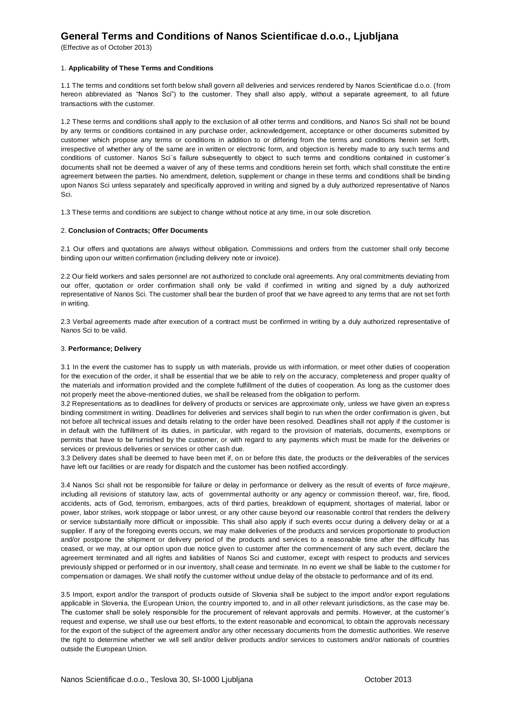(Effective as of October 2013)

# 1. **Applicability of These Terms and Conditions**

1.1 The terms and conditions set forth below shall govern all deliveries and services rendered by Nanos Scientificae d.o.o. (from hereon abbreviated as "Nanos Sci") to the customer. They shall also apply, without a separate agreement, to all future transactions with the customer.

1.2 These terms and conditions shall apply to the exclusion of all other terms and conditions, and Nanos Sci shall not be bound by any terms or conditions contained in any purchase order, acknowledgement, acceptance or other documents submitted by customer which propose any terms or conditions in addition to or differing from the terms and conditions herein set forth, irrespective of whether any of the same are in written or electronic form, and objection is hereby made to any such terms and conditions of customer. Nanos Sci´s failure subsequently to object to such terms and conditions contained in customer´s documents shall not be deemed a waiver of any of these terms and conditions herein set forth, which shall constitute the entire agreement between the parties. No amendment, deletion, supplement or change in these terms and conditions shall be binding upon Nanos Sci unless separately and specifically approved in writing and signed by a duly authorized representative of Nanos Sci.

1.3 These terms and conditions are subject to change without notice at any time, in our sole discretion.

# 2. **Conclusion of Contracts; Offer Documents**

2.1 Our offers and quotations are always without obligation. Commissions and orders from the customer shall only become binding upon our written confirmation (including delivery note or invoice).

2.2 Our field workers and sales personnel are not authorized to conclude oral agreements. Any oral commitments deviating from our offer, quotation or order confirmation shall only be valid if confirmed in writing and signed by a duly authorized representative of Nanos Sci. The customer shall bear the burden of proof that we have agreed to any terms that are not set forth in writing.

2.3 Verbal agreements made after execution of a contract must be confirmed in writing by a duly authorized representative of Nanos Sci to be valid.

# 3. **Performance; Delivery**

3.1 In the event the customer has to supply us with materials, provide us with information, or meet other duties of cooperation for the execution of the order, it shall be essential that we be able to rely on the accuracy, completeness and proper quality of the materials and information provided and the complete fulfillment of the duties of cooperation. As long as the customer does not properly meet the above-mentioned duties, we shall be released from the obligation to perform.

3.2 Representations as to deadlines for delivery of products or services are approximate only, unless we have given an express binding commitment in writing. Deadlines for deliveries and services shall begin to run when the order confirmation is given, but not before all technical issues and details relating to the order have been resolved. Deadlines shall not apply if the customer is in default with the fulfillment of its duties, in particular, with regard to the provision of materials, documents, exemptions or permits that have to be furnished by the customer, or with regard to any payments which must be made for the deliveries or services or previous deliveries or services or other cash due.

3.3 Delivery dates shall be deemed to have been met if, on or before this date, the products or the deliverables of the services have left our facilities or are ready for dispatch and the customer has been notified accordingly.

3.4 Nanos Sci shall not be responsible for failure or delay in performance or delivery as the result of events of *force majeure*, including all revisions of statutory law, acts of governmental authority or any agency or commission thereof, war, fire, flood, accidents, acts of God, terrorism, embargoes, acts of third parties, breakdown of equipment, shortages of material, labor or power, labor strikes, work stoppage or labor unrest, or any other cause beyond our reasonable control that renders the delivery or service substantially more difficult or impossible. This shall also apply if such events occur during a delivery delay or at a supplier. If any of the foregoing events occurs, we may make deliveries of the products and services proportionate to production and/or postpone the shipment or delivery period of the products and services to a reasonable time after the difficulty has ceased, or we may, at our option upon due notice given to customer after the commencement of any such event, declare the agreement terminated and all rights and liabilities of Nanos Sci and customer, except with respect to products and services previously shipped or performed or in our inventory, shall cease and terminate. In no event we shall be liable to the customer for compensation or damages. We shall notify the customer without undue delay of the obstacle to performance and of its end.

3.5 Import, export and/or the transport of products outside of Slovenia shall be subject to the import and/or export regulations applicable in Slovenia, the European Union, the country imported to, and in all other relevant jurisdictions, as the case may be. The customer shall be solely responsible for the procurement of relevant approvals and permits. However, at the customer´s request and expense, we shall use our best efforts, to the extent reasonable and economical, to obtain the approvals necessary for the export of the subject of the agreement and/or any other necessary documents from the domestic authorities. We reserve the right to determine whether we will sell and/or deliver products and/or services to customers and/or nationals of countries outside the European Union.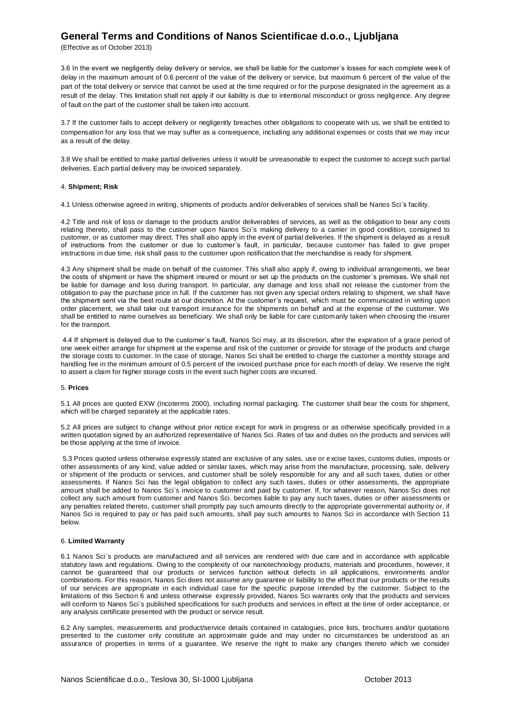(Effective as of October 2013)

3.6 In the event we negligently delay delivery or service, we shall be liable for the customer´s losses for each complete week of delay in the maximum amount of 0.6 percent of the value of the delivery or service, but maximum 6 percent of the value of the part of the total delivery or service that cannot be used at the time required or for the purpose designated in the agreement as a result of the delay. This limitation shall not apply if our liability is due to intentional misconduct or gross negligence. Any degree of fault on the part of the customer shall be taken into account.

3.7 If the customer fails to accept delivery or negligently breaches other obligations to cooperate with us, we shall be entitled to compensation for any loss that we may suffer as a consequence, including any additional expenses or costs that we may incur as a result of the delay.

3.8 We shall be entitled to make partial deliveries unless it would be unreasonable to expect the customer to accept such partial deliveries. Each partial delivery may be invoiced separately.

## 4. **Shipment; Risk**

4.1 Unless otherwise agreed in writing, shipments of products and/or deliverables of services shall be Nanos Sci´s facility.

4.2 Title and risk of loss or damage to the products and/or deliverables of services, as well as the obligation to bear any costs relating thereto, shall pass to the customer upon Nanos Sci´s making delivery to a carrier in good condition, consigned to customer, or as customer may direct. This shall also apply in the event of partial deliveries. If the shipment is delayed as a result of instructions from the customer or due to customer´s fault, in particular, because customer has failed to give proper instructions in due time, risk shall pass to the customer upon notification that the merchandise is ready for shipment.

4.3 Any shipment shall be made on behalf of the customer. This shall also apply if, owing to individual arrangements, we bear the costs of shipment or have the shipment insured or mount or set up the products on the customer´s premises. We shall not be liable for damage and loss during transport. In particular, any damage and loss shall not release the customer from the obligation to pay the purchase price in full. If the customer has not given any special orders relating to shipment, we shall have the shipment sent via the best route at our discretion. At the customer´s request, which must be communicated in writing upon order placement, we shall take out transport insurance for the shipments on behalf and at the expense of the customer. We shall be entitled to name ourselves as beneficiary. We shall only be liable for care customarily taken when choosing the insurer for the transport.

4.4 If shipment is delayed due to the customer´s fault, Nanos Sci may, at its discretion, after the expiration of a grace period of one week either arrange for shipment at the expense and risk of the customer or provide for storage of the products and charge the storage costs to customer. In the case of storage, Nanos Sci shall be entitled to charge the customer a monthly storage and handling fee in the minimum amount of 0.5 percent of the invoiced purchase price for each month of delay. We reserve the right to assert a claim for higher storage costs in the event such higher costs are incurred.

#### 5. **Prices**

5.1 All prices are quoted EXW (Incoterms 2000), including normal packaging. The customer shall bear the costs for shipment, which will be charged separately at the applicable rates.

5.2 All prices are subject to change without prior notice except for work in progress or as otherwise specifically provided i n a written quotation signed by an authorized representative of Nanos Sci. Rates of tax and duties on the products and services will be those applying at the time of invoice.

5.3 Prices quoted unless otherwise expressly stated are exclusive of any sales, use or excise taxes, customs duties, imposts or other assessments of any kind, value added or similar taxes, which may arise from the manufacture, processing, sale, delivery or shipment of the products or services, and customer shall be solely responsible for any and all such taxes, duties or other assessments. If Nanos Sci has the legal obligation to collect any such taxes, duties or other assessments, the appropriate amount shall be added to Nanos Sci´s invoice to customer and paid by customer. If, for whatever reason, Nanos Sci does not collect any such amount from customer and Nanos Sci. becomes liable to pay any such taxes, duties or other assessments or any penalties related thereto, customer shall promptly pay such amounts directly to the appropriate governmental authority or, if Nanos Sci is required to pay or has paid such amounts, shall pay such amounts to Nanos Sci in accordance with Section 11 below.

## 6. **Limited Warranty**

6.1 Nanos Sci´s products are manufactured and all services are rendered with due care and in accordance with applicable statutory laws and regulations. Owing to the complexity of our nanotechnology products, materials and procedures, however, it cannot be guaranteed that our products or services function without defects in all applications, environments and/or combinations. For this reason, Nanos Sci does not assume any guarantee or liability to the effect that our products or the results of our services are appropriate in each individual case for the specific purpose intended by the customer. Subject to the limitations of this Section 6 and unless otherwise expressly provided, Nanos Sci warrants only that the products and services will conform to Nanos Sci´s published specifications for such products and services in effect at the time of order acceptance, or any analysis certificate presented with the product or service result.

6.2 Any samples, measurements and product/service details contained in catalogues, price lists, brochures and/or quotations presented to the customer only constitute an approximate guide and may under no circumstances be understood as an assurance of properties in terms of a guarantee. We reserve the right to make any changes thereto which we consider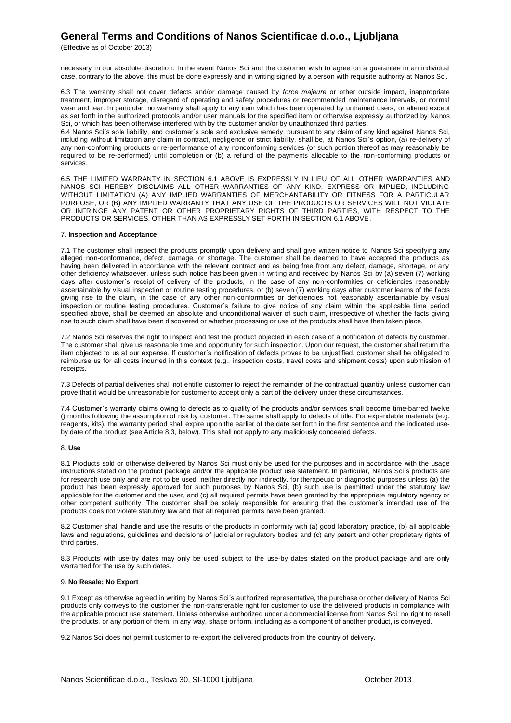(Effective as of October 2013)

necessary in our absolute discretion. In the event Nanos Sci and the customer wish to agree on a guarantee in an individual case, contrary to the above, this must be done expressly and in writing signed by a person with requisite authority at Nanos Sci.

6.3 The warranty shall not cover defects and/or damage caused by *force majeure* or other outside impact, inappropriate treatment, improper storage, disregard of operating and safety procedures or recommended maintenance intervals, or normal wear and tear. In particular, no warranty shall apply to any item which has been operated by untrained users, or altered except as set forth in the authorized protocols and/or user manuals for the specified item or otherwise expressly authorized by Nanos Sci, or which has been otherwise interfered with by the customer and/or by unauthorized third parties.

6.4 Nanos Sci´s sole liability, and customer´s sole and exclusive remedy, pursuant to any claim of any kind against Nanos Sci, including without limitation any claim in contract, negligence or strict liability, shall be, at Nanos Sci´s option, (a) re-delivery of any non-conforming products or re-performance of any nonconforming services (or such portion thereof as may reasonably be required to be re-performed) until completion or (b) a refund of the payments allocable to the non-conforming products or services.

6.5 THE LIMITED WARRANTY IN SECTION 6.1 ABOVE IS EXPRESSLY IN LIEU OF ALL OTHER WARRANTIES AND NANOS SCI HEREBY DISCLAIMS ALL OTHER WARRANTIES OF ANY KIND, EXPRESS OR IMPLIED, INCLUDING WITHOUT LIMITATION (A) ANY IMPLIED WARRANTIES OF MERCHANTABILITY OR FITNESS FOR A PARTICULAR PURPOSE, OR (B) ANY IMPLIED WARRANTY THAT ANY USE OF THE PRODUCTS OR SERVICES WILL NOT VIOLATE OR INFRINGE ANY PATENT OR OTHER PROPRIETARY RIGHTS OF THIRD PARTIES, WITH RESPECT TO THE PRODUCTS OR SERVICES, OTHER THAN AS EXPRESSLY SET FORTH IN SECTION 6.1 ABOVE.

### 7. **Inspection and Acceptance**

7.1 The customer shall inspect the products promptly upon delivery and shall give written notice to Nanos Sci specifying any alleged non-conformance, defect, damage, or shortage. The customer shall be deemed to have accepted the products as having been delivered in accordance with the relevant contract and as being free from any defect, damage, shortage, or any other deficiency whatsoever, unless such notice has been given in writing and received by Nanos Sci by (a) seven (7) working days after customer´s receipt of delivery of the products, in the case of any non-conformities or deficiencies reasonably ascertainable by visual inspection or routine testing procedures, or (b) seven (7) working days after customer learns of the facts giving rise to the claim, in the case of any other non-conformities or deficiencies not reasonably ascertainable by visual inspection or routine testing procedures. Customer´s failure to give notice of any claim within the applicable time period specified above, shall be deemed an absolute and unconditional waiver of such claim, irrespective of whether the facts giving rise to such claim shall have been discovered or whether processing or use of the products shall have then taken place.

7.2 Nanos Sci reserves the right to inspect and test the product objected in each case of a notification of defects by customer. The customer shall give us reasonable time and opportunity for such inspection. Upon our request, the customer shall return the item objected to us at our expense. If customer´s notification of defects proves to be unjustified, customer shall be obligated to reimburse us for all costs incurred in this context (e.g., inspection costs, travel costs and shipment costs) upon submission of receipts.

7.3 Defects of partial deliveries shall not entitle customer to reject the remainder of the contractual quantity unless customer can prove that it would be unreasonable for customer to accept only a part of the delivery under these circumstances.

7.4 Customer´s warranty claims owing to defects as to quality of the products and/or services shall become time-barred twelve () months following the assumption of risk by customer. The same shall apply to defects of title. For expendable materials (e.g. reagents, kits), the warranty period shall expire upon the earlier of the date set forth in the first sentence and the indicated useby date of the product (see Article 8.3, below). This shall not apply to any maliciously concealed defects.

### 8. **Use**

8.1 Products sold or otherwise delivered by Nanos Sci must only be used for the purposes and in accordance with the usage instructions stated on the product package and/or the applicable product use statement. In particular, Nanos Sci´s products are for research use only and are not to be used, neither directly nor indirectly, for therapeutic or diagnostic purposes unless (a) the product has been expressly approved for such purposes by Nanos Sci, (b) such use is permitted under the statutory law applicable for the customer and the user, and (c) all required permits have been granted by the appropriate regulatory agency or other competent authority. The customer shall be solely responsible for ensuring that the customer´s intended use of the products does not violate statutory law and that all required permits have been granted.

8.2 Customer shall handle and use the results of the products in conformity with (a) good laboratory practice, (b) all applic able laws and regulations, guidelines and decisions of judicial or regulatory bodies and (c) any patent and other proprietary rights of third parties.

8.3 Products with use-by dates may only be used subject to the use-by dates stated on the product package and are only warranted for the use by such dates.

### 9. **No Resale; No Export**

9.1 Except as otherwise agreed in writing by Nanos Sci´s authorized representative, the purchase or other delivery of Nanos Sci products only conveys to the customer the non-transferable right for customer to use the delivered products in compliance with the applicable product use statement. Unless otherwise authorized under a commercial license from Nanos Sci, no right to resell the products, or any portion of them, in any way, shape or form, including as a component of another product, is conveyed.

9.2 Nanos Sci does not permit customer to re-export the delivered products from the country of delivery.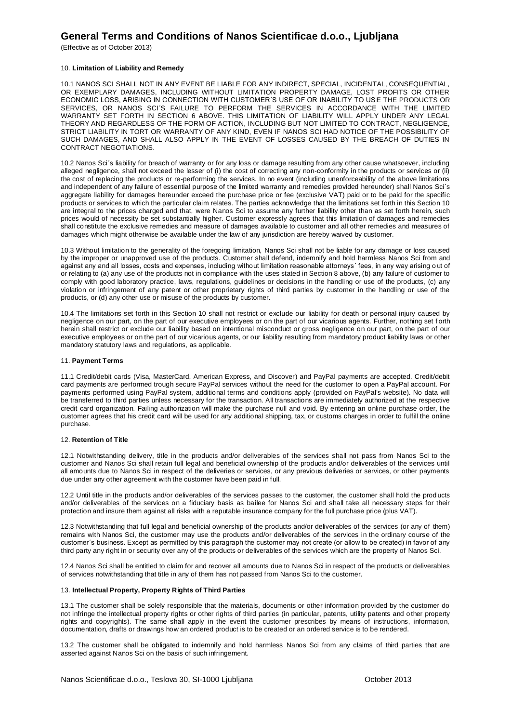(Effective as of October 2013)

### 10. **Limitation of Liability and Remedy**

10.1 NANOS SCI SHALL NOT IN ANY EVENT BE LIABLE FOR ANY INDIRECT, SPECIAL, INCIDENTAL, CONSEQUENTIAL, OR EXEMPLARY DAMAGES, INCLUDING WITHOUT LIMITATION PROPERTY DAMAGE, LOST PROFITS OR OTHER ECONOMIC LOSS, ARISING IN CONNECTION WITH CUSTOMER´S USE OF OR INABILITY TO USE THE PRODUCTS OR SERVICES, OR NANOS SCI´S FAILURE TO PERFORM THE SERVICES IN ACCORDANCE WITH THE LIMITED WARRANTY SET FORTH IN SECTION 6 ABOVE. THIS LIMITATION OF LIABILITY WILL APPLY UNDER ANY LEGAL THEORY AND REGARDLESS OF THE FORM OF ACTION, INCLUDING BUT NOT LIMITED TO CONTRACT, NEGLIGENCE, STRICT LIABILITY IN TORT OR WARRANTY OF ANY KIND, EVEN IF NANOS SCI HAD NOTICE OF THE POSSIBILITY OF SUCH DAMAGES, AND SHALL ALSO APPLY IN THE EVENT OF LOSSES CAUSED BY THE BREACH OF DUTIES IN CONTRACT NEGOTIATIONS.

10.2 Nanos Sci´s liability for breach of warranty or for any loss or damage resulting from any other cause whatsoever, including alleged negligence, shall not exceed the lesser of (i) the cost of correcting any non-conformity in the products or services or (ii) the cost of replacing the products or re-performing the services. In no event (including unenforceability of the above limitations and independent of any failure of essential purpose of the limited warranty and remedies provided hereunder) shall Nanos Sci´s aggregate liability for damages hereunder exceed the purchase price or fee (exclusive VAT) paid or to be paid for the specific products or services to which the particular claim relates. The parties acknowledge that the limitations set forth in this Section 10 are integral to the prices charged and that, were Nanos Sci to assume any further liability other than as set forth herein, such prices would of necessity be set substantially higher. Customer expressly agrees that this limitation of damages and remedies shall constitute the exclusive remedies and measure of damages available to customer and all other remedies and measures of damages which might otherwise be available under the law of any jurisdiction are hereby waived by customer.

10.3 Without limitation to the generality of the foregoing limitation, Nanos Sci shall not be liable for any damage or loss caused by the improper or unapproved use of the products. Customer shall defend, indemnify and hold harmless Nanos Sci from and against any and all losses, costs and expenses, including without limitation reasonable attorneys´ fees, in any way arising o ut of or relating to (a) any use of the products not in compliance with the uses stated in Section 8 above, (b) any failure of customer to comply with good laboratory practice, laws, regulations, guidelines or decisions in the handling or use of the products, (c) any violation or infringement of any patent or other proprietary rights of third parties by customer in the handling or use of the products, or (d) any other use or misuse of the products by customer.

10.4 The limitations set forth in this Section 10 shall not restrict or exclude our liability for death or personal injury caused by negligence on our part, on the part of our executive employees or on the part of our vicarious agents. Further, nothing set f orth herein shall restrict or exclude our liability based on intentional misconduct or gross negligence on our part, on the part of our executive employees or on the part of our vicarious agents, or our liability resulting from mandatory product liability laws or other mandatory statutory laws and regulations, as applicable.

#### 11. **Payment Terms**

11.1 Credit/debit cards (Visa, MasterCard, American Express, and Discover) and PayPal payments are accepted. Credit/debit card payments are performed trough secure PayPal services without the need for the customer to open a PayPal account. For payments performed using PayPal system, additional terms and conditions apply (provided on PayPal's website). No data will be transferred to third parties unless necessary for the transaction. All transactions are immediately authorized at the respective credit card organization. Failing authorization will make the purchase null and void. By entering an online purchase order, t he customer agrees that his credit card will be used for any additional shipping, tax, or customs charges in order to fulfill the online purchase.

## 12. **Retention of Title**

12.1 Notwithstanding delivery, title in the products and/or deliverables of the services shall not pass from Nanos Sci to the customer and Nanos Sci shall retain full legal and beneficial ownership of the products and/or deliverables of the services until all amounts due to Nanos Sci in respect of the deliveries or services, or any previous deliveries or services, or other payments due under any other agreement with the customer have been paid in full.

12.2 Until title in the products and/or deliverables of the services passes to the customer, the customer shall hold the prod ucts and/or deliverables of the services on a fiduciary basis as bailee for Nanos Sci and shall take all necessary steps for their protection and insure them against all risks with a reputable insurance company for the full purchase price (plus VAT).

12.3 Notwithstanding that full legal and beneficial ownership of the products and/or deliverables of the services (or any of them) remains with Nanos Sci, the customer may use the products and/or deliverables of the services in the ordinary course of the customer´s business. Except as permitted by this paragraph the customer may not create (or allow to be created) in favor of any third party any right in or security over any of the products or deliverables of the services which are the property of Nanos Sci.

12.4 Nanos Sci shall be entitled to claim for and recover all amounts due to Nanos Sci in respect of the products or deliverables of services notwithstanding that title in any of them has not passed from Nanos Sci to the customer.

### 13. **Intellectual Property, Property Rights of Third Parties**

13.1 The customer shall be solely responsible that the materials, documents or other information provided by the customer do not infringe the intellectual property rights or other rights of third parties (in particular, patents, utility patents and other property rights and copyrights). The same shall apply in the event the customer prescribes by means of instructions, information, documentation, drafts or drawings how an ordered product is to be created or an ordered service is to be rendered.

13.2 The customer shall be obligated to indemnify and hold harmless Nanos Sci from any claims of third parties that are asserted against Nanos Sci on the basis of such infringement.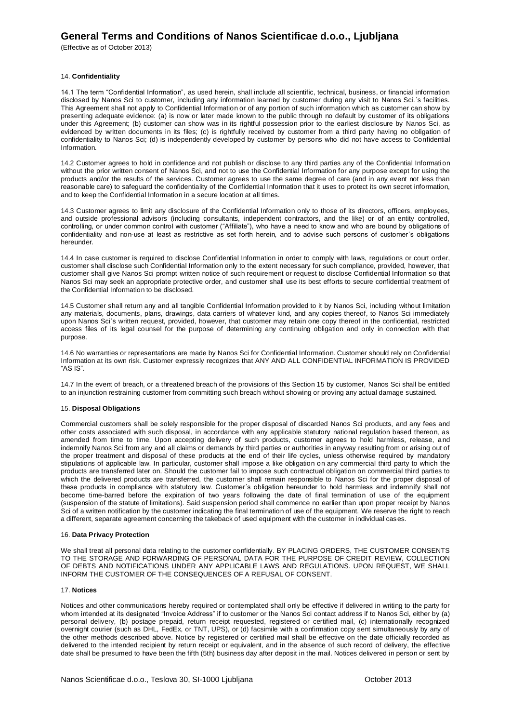(Effective as of October 2013)

### 14. **Confidentiality**

14.1 The term "Confidential Information", as used herein, shall include all scientific, technical, business, or financial information disclosed by Nanos Sci to customer, including any information learned by customer during any visit to Nanos Sci.´s facilities. This Agreement shall not apply to Confidential Information or of any portion of such information which as customer can show by presenting adequate evidence: (a) is now or later made known to the public through no default by customer of its obligations under this Agreement; (b) customer can show was in its rightful possession prior to the earliest disclosure by Nanos Sci, as evidenced by written documents in its files; (c) is rightfully received by customer from a third party having no obligation of confidentiality to Nanos Sci; (d) is independently developed by customer by persons who did not have access to Confidential Information.

14.2 Customer agrees to hold in confidence and not publish or disclose to any third parties any of the Confidential Information without the prior written consent of Nanos Sci, and not to use the Confidential Information for any purpose except for using the products and/or the results of the services. Customer agrees to use the same degree of care (and in any event not less than reasonable care) to safeguard the confidentiality of the Confidential Information that it uses to protect its own secret information, and to keep the Confidential Information in a secure location at all times.

14.3 Customer agrees to limit any disclosure of the Confidential Information only to those of its directors, officers, employees, and outside professional advisors (including consultants, independent contractors, and the like) or of an entity controlled, controlling, or under common control with customer ("Affiliate"), who have a need to know and who are bound by obligations of confidentiality and non-use at least as restrictive as set forth herein, and to advise such persons of customer´s obligations hereunder.

14.4 In case customer is required to disclose Confidential Information in order to comply with laws, regulations or court order, customer shall disclose such Confidential Information only to the extent necessary for such compliance, provided, however, that customer shall give Nanos Sci prompt written notice of such requirement or request to disclose Confidential Information so that Nanos Sci may seek an appropriate protective order, and customer shall use its best efforts to secure confidential treatment of the Confidential Information to be disclosed.

14.5 Customer shall return any and all tangible Confidential Information provided to it by Nanos Sci, including without limitation any materials, documents, plans, drawings, data carriers of whatever kind, and any copies thereof, to Nanos Sci immediately upon Nanos Sci´s written request, provided, however, that customer may retain one copy thereof in the confidential, restricted access files of its legal counsel for the purpose of determining any continuing obligation and only in connection with that purpose.

14.6 No warranties or representations are made by Nanos Sci for Confidential Information. Customer should rely on Confidential Information at its own risk. Customer expressly recognizes that ANY AND ALL CONFIDENTIAL INFORMATION IS PROVIDED "AS IS".

14.7 In the event of breach, or a threatened breach of the provisions of this Section 15 by customer, Nanos Sci shall be entitled to an injunction restraining customer from committing such breach without showing or proving any actual damage sustained.

### 15. **Disposal Obligations**

Commercial customers shall be solely responsible for the proper disposal of discarded Nanos Sci products, and any fees and other costs associated with such disposal, in accordance with any applicable statutory national regulation based thereon, as amended from time to time. Upon accepting delivery of such products, customer agrees to hold harmless, release, and indemnify Nanos Sci from any and all claims or demands by third parties or authorities in anyway resulting from or arising out of the proper treatment and disposal of these products at the end of their life cycles, unless otherwise required by mandatory stipulations of applicable law. In particular, customer shall impose a like obligation on any commercial third party to which the products are transferred later on. Should the customer fail to impose such contractual obligation on commercial third parties to which the delivered products are transferred, the customer shall remain responsible to Nanos Sci for the proper disposal of these products in compliance with statutory law. Customer´s obligation hereunder to hold harmless and indemnify shall not become time-barred before the expiration of two years following the date of final termination of use of the equipment (suspension of the statute of limitations). Said suspension period shall commence no earlier than upon proper receipt by Nanos Sci of a written notification by the customer indicating the final termination of use of the equipment. We reserve the right to reach a different, separate agreement concerning the takeback of used equipment with the customer in individual cases.

### 16. **Data Privacy Protection**

We shall treat all personal data relating to the customer confidentially. BY PLACING ORDERS, THE CUSTOMER CONSENTS TO THE STORAGE AND FORWARDING OF PERSONAL DATA FOR THE PURPOSE OF CREDIT REVIEW, COLLECTION OF DEBTS AND NOTIFICATIONS UNDER ANY APPLICABLE LAWS AND REGULATIONS. UPON REQUEST, WE SHALL INFORM THE CUSTOMER OF THE CONSEQUENCES OF A REFUSAL OF CONSENT.

### 17. **Notices**

Notices and other communications hereby required or contemplated shall only be effective if delivered in writing to the party for whom intended at its designated "Invoice Address" if to customer or the Nanos Sci contact address if to Nanos Sci, either by (a) personal delivery, (b) postage prepaid, return receipt requested, registered or certified mail, (c) internationally recognized overnight courier (such as DHL, FedEx, or TNT, UPS), or (d) facsimile with a confirmation copy sent simultaneously by any of the other methods described above. Notice by registered or certified mail shall be effective on the date officially recorded as delivered to the intended recipient by return receipt or equivalent, and in the absence of such record of delivery, the effective date shall be presumed to have been the fifth (5th) business day after deposit in the mail. Notices delivered in person or sent by